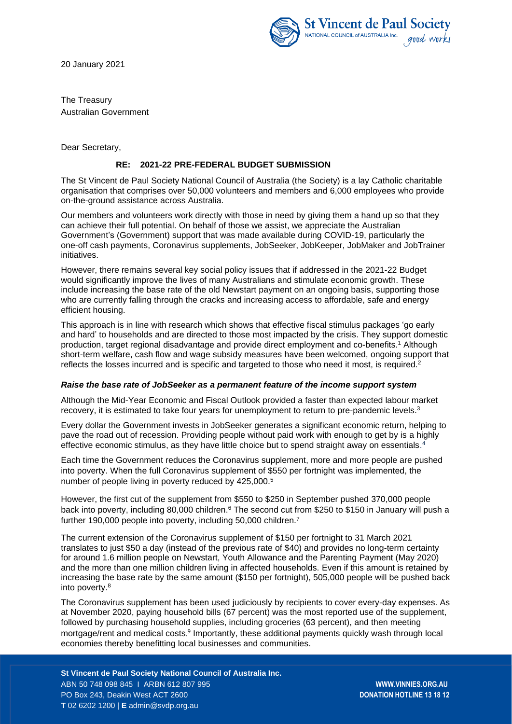



The Treasury Australian Government

Dear Secretary,

# **RE: 2021-22 PRE-FEDERAL BUDGET SUBMISSION**

The St Vincent de Paul Society National Council of Australia (the Society) is a lay Catholic charitable organisation that comprises over 50,000 volunteers and members and 6,000 employees who provide on-the-ground assistance across Australia.

Our members and volunteers work directly with those in need by giving them a hand up so that they can achieve their full potential. On behalf of those we assist, we appreciate the Australian Government's (Government) support that was made available during COVID-19, particularly the one-off cash payments, Coronavirus supplements, JobSeeker, JobKeeper, JobMaker and JobTrainer initiatives.

However, there remains several key social policy issues that if addressed in the 2021-22 Budget would significantly improve the lives of many Australians and stimulate economic growth. These include increasing the base rate of the old Newstart payment on an ongoing basis, supporting those who are currently falling through the cracks and increasing access to affordable, safe and energy efficient housing.

This approach is in line with research which shows that effective fiscal stimulus packages 'go early and hard' to households and are directed to those most impacted by the crisis. They support domestic production, target regional disadvantage and provide direct employment and co-benefits.<sup>1</sup> Although short-term welfare, cash flow and wage subsidy measures have been welcomed, ongoing support that reflects the losses incurred and is specific and targeted to those who need it most, is required.<sup>2</sup>

## *Raise the base rate of JobSeeker as a permanent feature of the income support system*

Although the Mid-Year Economic and Fiscal Outlook provided a faster than expected labour market recovery, it is estimated to take four years for unemployment to return to pre-pandemic levels.<sup>3</sup>

Every dollar the Government invests in JobSeeker generates a significant economic return, helping to pave the road out of recession. Providing people without paid work with enough to get by is a highly effective economic stimulus, as they have little choice but to spend straight away on essentials.<sup>4</sup>

Each time the Government reduces the Coronavirus supplement, more and more people are pushed into poverty. When the full Coronavirus supplement of \$550 per fortnight was implemented, the number of people living in poverty reduced by 425,000.<sup>5</sup>

However, the first cut of the supplement from \$550 to \$250 in September pushed 370,000 people back into poverty, including 80,000 children.<sup>6</sup> The second cut from \$250 to \$150 in January will push a further 190,000 people into poverty, including 50,000 children.<sup>7</sup>

The current extension of the Coronavirus supplement of \$150 per fortnight to 31 March 2021 translates to just \$50 a day (instead of the previous rate of \$40) and provides no long-term certainty for around 1.6 million people on Newstart, Youth Allowance and the Parenting Payment (May 2020) and the more than one million children living in affected households. Even if this amount is retained by increasing the base rate by the same amount (\$150 per fortnight), 505,000 people will be pushed back into poverty.<sup>8</sup>

The Coronavirus supplement has been used judiciously by recipients to cover every-day expenses. As at November 2020, paying household bills (67 percent) was the most reported use of the supplement, followed by purchasing household supplies, including groceries (63 percent), and then meeting mortgage/rent and medical costs.<sup>9</sup> Importantly, these additional payments quickly wash through local economies thereby benefitting local businesses and communities.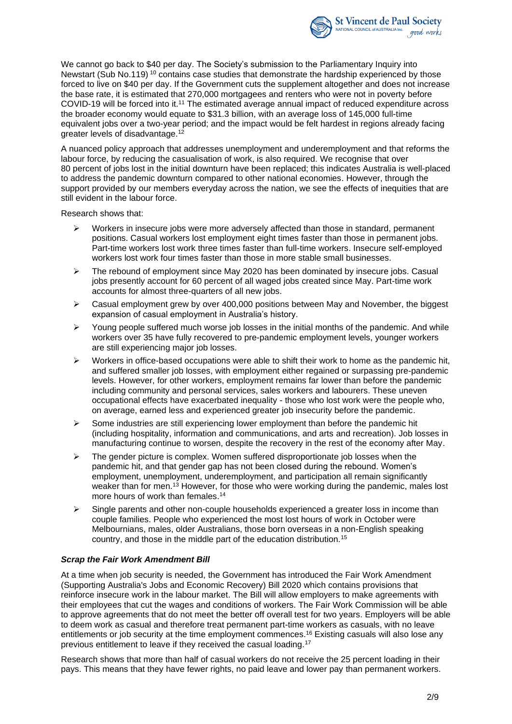

We cannot go back to \$40 per day. The Society's submission to the Parliamentary Inquiry into Newstart (Sub No.119)<sup>10</sup> contains case studies that demonstrate the hardship experienced by those forced to live on \$40 per day. If the Government cuts the supplement altogether and does not increase the base rate, it is estimated that 270,000 mortgagees and renters who were not in poverty before COVID-19 will be forced into it. <sup>11</sup> The estimated average annual impact of reduced expenditure across the broader economy would equate to \$31.3 billion, with an average loss of 145,000 full-time equivalent jobs over a two-year period; and the impact would be felt hardest in regions already facing greater levels of disadvantage. 12

A nuanced policy approach that addresses unemployment and underemployment and that reforms the labour force, by reducing the casualisation of work, is also required. We recognise that over 80 percent of jobs lost in the initial downturn have been replaced; this indicates Australia is well-placed to address the pandemic downturn compared to other national economies. However, through the support provided by our members everyday across the nation, we see the effects of inequities that are still evident in the labour force.

Research shows that:

- Workers in insecure jobs were more adversely affected than those in standard, permanent positions. Casual workers lost employment eight times faster than those in permanent jobs. Part-time workers lost work three times faster than full-time workers. Insecure self-employed workers lost work four times faster than those in more stable small businesses.
- $\triangleright$  The rebound of employment since May 2020 has been dominated by insecure jobs. Casual jobs presently account for 60 percent of all waged jobs created since May. Part-time work accounts for almost three-quarters of all new jobs.
- $\triangleright$  Casual employment grew by over 400,000 positions between May and November, the biggest expansion of casual employment in Australia's history.
- $\triangleright$  Young people suffered much worse job losses in the initial months of the pandemic. And while workers over 35 have fully recovered to pre-pandemic employment levels, younger workers are still experiencing major job losses.
- $\triangleright$  Workers in office-based occupations were able to shift their work to home as the pandemic hit, and suffered smaller job losses, with employment either regained or surpassing pre-pandemic levels. However, for other workers, employment remains far lower than before the pandemic including community and personal services, sales workers and labourers. These uneven occupational effects have exacerbated inequality - those who lost work were the people who, on average, earned less and experienced greater job insecurity before the pandemic.
- $\triangleright$  Some industries are still experiencing lower employment than before the pandemic hit (including hospitality, information and communications, and arts and recreation). Job losses in manufacturing continue to worsen, despite the recovery in the rest of the economy after May.
- $\triangleright$  The gender picture is complex. Women suffered disproportionate job losses when the pandemic hit, and that gender gap has not been closed during the rebound. Women's employment, unemployment, underemployment, and participation all remain significantly weaker than for men.<sup>13</sup> However, for those who were working during the pandemic, males lost more hours of work than females. 14
- $\triangleright$  Single parents and other non-couple households experienced a greater loss in income than couple families. People who experienced the most lost hours of work in October were Melbournians, males, older Australians, those born overseas in a non-English speaking country, and those in the middle part of the education distribution.<sup>15</sup>

## *Scrap the Fair Work Amendment Bill*

At a time when job security is needed, the Government has introduced the Fair Work Amendment (Supporting Australia's Jobs and Economic Recovery) Bill 2020 which contains provisions that reinforce insecure work in the labour market. The Bill will allow employers to make agreements with their employees that cut the wages and conditions of workers. The Fair Work Commission will be able to approve agreements that do not meet the better off overall test for two years. Employers will be able to deem work as casual and therefore treat permanent part-time workers as casuals, with no leave entitlements or job security at the time employment commences. <sup>16</sup> Existing casuals will also lose any previous entitlement to leave if they received the casual loading.<sup>17</sup>

Research shows that more than half of casual workers do not receive the 25 percent loading in their pays. This means that they have fewer rights, no paid leave and lower pay than permanent workers.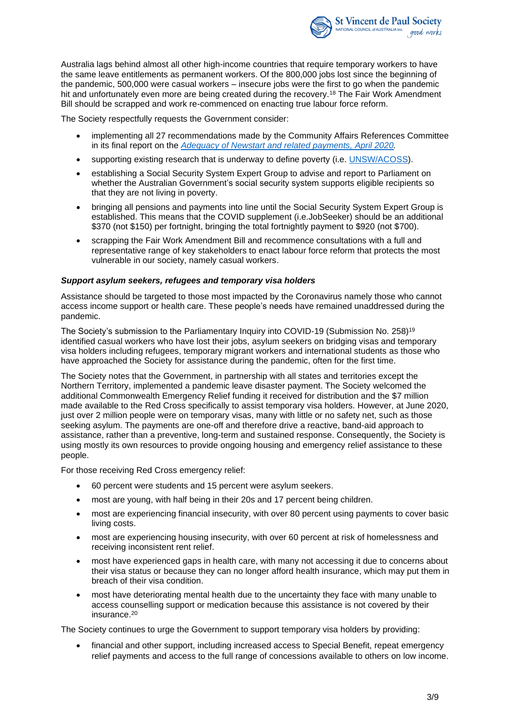

Australia lags behind almost all other high-income countries that require temporary workers to have the same leave entitlements as permanent workers. Of the 800,000 jobs lost since the beginning of the pandemic, 500,000 were casual workers – insecure jobs were the first to go when the pandemic hit and unfortunately even more are being created during the recovery.<sup>18</sup> The Fair Work Amendment Bill should be scrapped and work re-commenced on enacting true labour force reform.

The Society respectfully requests the Government consider:

- implementing all 27 recommendations made by the Community Affairs References Committee in its final report on the *[Adequacy of Newstart and related payments, April 2020.](https://parlinfo.aph.gov.au/parlInfo/download/committees/reportsen/024323/toc_pdf/AdequacyofNewstartandrelatedpaymentsandalternativemechanismstodeterminethelevelofincomesupportpaymentsinAustralia.pdf;fileType=application%2Fpdf)*
- supporting existing research that is underway to define poverty (i.e. [UNSW/ACOSS\)](http://povertyandinequality.acoss.org.au/poverty/).
- establishing a Social Security System Expert Group to advise and report to Parliament on whether the Australian Government's social security system supports eligible recipients so that they are not living in poverty.
- bringing all pensions and payments into line until the Social Security System Expert Group is established. This means that the COVID supplement (i.e.JobSeeker) should be an additional \$370 (not \$150) per fortnight, bringing the total fortnightly payment to \$920 (not \$700).
- scrapping the Fair Work Amendment Bill and recommence consultations with a full and representative range of key stakeholders to enact labour force reform that protects the most vulnerable in our society, namely casual workers.

## *Support asylum seekers, refugees and temporary visa holders*

Assistance should be targeted to those most impacted by the Coronavirus namely those who cannot access income support or health care. These people's needs have remained unaddressed during the pandemic.

The Society's submission to the Parliamentary Inquiry into COVID-19 (Submission No. 258) 19 identified casual workers who have lost their jobs, asylum seekers on bridging visas and temporary visa holders including refugees, temporary migrant workers and international students as those who have approached the Society for assistance during the pandemic, often for the first time.

The Society notes that the Government, in partnership with all states and territories except the Northern Territory, implemented a pandemic leave disaster payment. The Society welcomed the additional Commonwealth Emergency Relief funding it received for distribution and the \$7 million made available to the Red Cross specifically to assist temporary visa holders. However, at June 2020, just over 2 million people were on temporary visas, many with little or no safety net, such as those seeking asylum. The payments are one-off and therefore drive a reactive, band-aid approach to assistance, rather than a preventive, long-term and sustained response. Consequently, the Society is using mostly its own resources to provide ongoing housing and emergency relief assistance to these people.

For those receiving Red Cross emergency relief:

- 60 percent were students and 15 percent were asylum seekers.
- most are young, with half being in their 20s and 17 percent being children.
- most are experiencing financial insecurity, with over 80 percent using payments to cover basic living costs.
- most are experiencing housing insecurity, with over 60 percent at risk of homelessness and receiving inconsistent rent relief.
- most have experienced gaps in health care, with many not accessing it due to concerns about their visa status or because they can no longer afford health insurance, which may put them in breach of their visa condition.
- most have deteriorating mental health due to the uncertainty they face with many unable to access counselling support or medication because this assistance is not covered by their insurance.<sup>20</sup>

The Society continues to urge the Government to support temporary visa holders by providing:

• financial and other support, including increased access to Special Benefit, repeat emergency relief payments and access to the full range of concessions available to others on low income.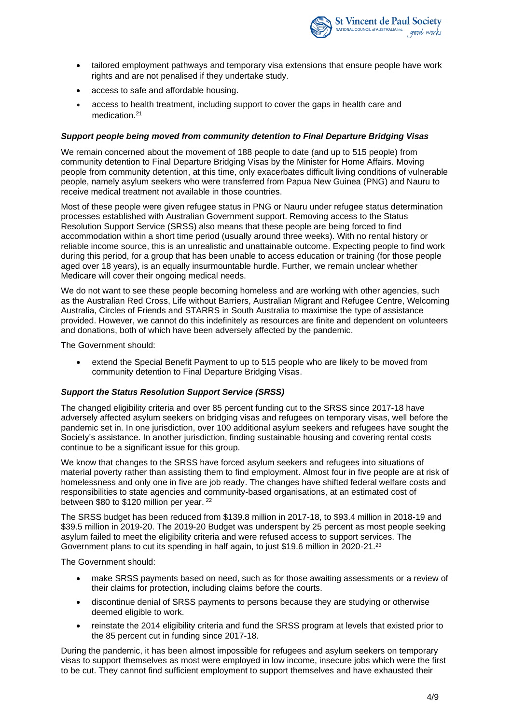

- tailored employment pathways and temporary visa extensions that ensure people have work rights and are not penalised if they undertake study.
- access to safe and affordable housing.
- access to health treatment, including support to cover the gaps in health care and medication. 21

## *Support people being moved from community detention to Final Departure Bridging Visas*

We remain concerned about the movement of 188 people to date (and up to 515 people) from community detention to Final Departure Bridging Visas by the Minister for Home Affairs. Moving people from community detention, at this time, only exacerbates difficult living conditions of vulnerable people, namely asylum seekers who were transferred from Papua New Guinea (PNG) and Nauru to receive medical treatment not available in those countries.

Most of these people were given refugee status in PNG or Nauru under refugee status determination processes established with Australian Government support. Removing access to the Status Resolution Support Service (SRSS) also means that these people are being forced to find accommodation within a short time period (usually around three weeks). With no rental history or reliable income source, this is an unrealistic and unattainable outcome. Expecting people to find work during this period, for a group that has been unable to access education or training (for those people aged over 18 years), is an equally insurmountable hurdle. Further, we remain unclear whether Medicare will cover their ongoing medical needs.

We do not want to see these people becoming homeless and are working with other agencies, such as the Australian Red Cross, Life without Barriers, Australian Migrant and Refugee Centre, Welcoming Australia, Circles of Friends and STARRS in South Australia to maximise the type of assistance provided. However, we cannot do this indefinitely as resources are finite and dependent on volunteers and donations, both of which have been adversely affected by the pandemic.

The Government should:

extend the Special Benefit Payment to up to 515 people who are likely to be moved from community detention to Final Departure Bridging Visas.

## *Support the Status Resolution Support Service (SRSS)*

The changed eligibility criteria and over 85 percent funding cut to the SRSS since 2017-18 have adversely affected asylum seekers on bridging visas and refugees on temporary visas, well before the pandemic set in. In one jurisdiction, over 100 additional asylum seekers and refugees have sought the Society's assistance. In another jurisdiction, finding sustainable housing and covering rental costs continue to be a significant issue for this group.

We know that changes to the SRSS have forced asylum seekers and refugees into situations of material poverty rather than assisting them to find employment. Almost four in five people are at risk of homelessness and only one in five are job ready. The changes have shifted federal welfare costs and responsibilities to state agencies and community-based organisations, at an estimated cost of between \$80 to \$120 million per year.<sup>22</sup>

The SRSS budget has been reduced from \$139.8 million in 2017-18, to \$93.4 million in 2018-19 and \$39.5 million in 2019-20. The 2019-20 Budget was underspent by 25 percent as most people seeking asylum failed to meet the eligibility criteria and were refused access to support services. The Government plans to cut its spending in half again, to just \$19.6 million in 2020-21.<sup>23</sup>

The Government should:

- make SRSS payments based on need, such as for those awaiting assessments or a review of their claims for protection, including claims before the courts.
- discontinue denial of SRSS payments to persons because they are studying or otherwise deemed eligible to work.
- reinstate the 2014 eligibility criteria and fund the SRSS program at levels that existed prior to the 85 percent cut in funding since 2017-18.

During the pandemic, it has been almost impossible for refugees and asylum seekers on temporary visas to support themselves as most were employed in low income, insecure jobs which were the first to be cut. They cannot find sufficient employment to support themselves and have exhausted their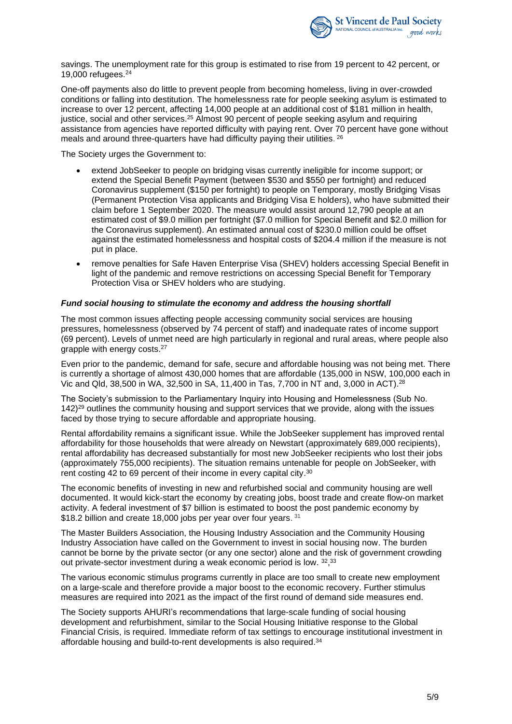

savings. The unemployment rate for this group is estimated to rise from 19 percent to 42 percent, or 19,000 refugees.<sup>24</sup>

One-off payments also do little to prevent people from becoming homeless, living in over-crowded conditions or falling into destitution. The homelessness rate for people seeking asylum is estimated to increase to over 12 percent, affecting 14,000 people at an additional cost of \$181 million in health, justice, social and other services.<sup>25</sup> Almost 90 percent of people seeking asylum and requiring assistance from agencies have reported difficulty with paying rent. Over 70 percent have gone without meals and around three-quarters have had difficulty paying their utilities. 26

The Society urges the Government to:

- extend JobSeeker to people on bridging visas currently ineligible for income support; or extend the Special Benefit Payment (between \$530 and \$550 per fortnight) and reduced Coronavirus supplement (\$150 per fortnight) to people on Temporary, mostly Bridging Visas (Permanent Protection Visa applicants and Bridging Visa E holders), who have submitted their claim before 1 September 2020. The measure would assist around 12,790 people at an estimated cost of \$9.0 million per fortnight (\$7.0 million for Special Benefit and \$2.0 million for the Coronavirus supplement). An estimated annual cost of \$230.0 million could be offset against the estimated homelessness and hospital costs of \$204.4 million if the measure is not put in place.
- remove penalties for Safe Haven Enterprise Visa (SHEV) holders accessing Special Benefit in light of the pandemic and remove restrictions on accessing Special Benefit for Temporary Protection Visa or SHEV holders who are studying.

## *Fund social housing to stimulate the economy and address the housing shortfall*

The most common issues affecting people accessing community social services are housing pressures, homelessness (observed by 74 percent of staff) and inadequate rates of income support (69 percent). Levels of unmet need are high particularly in regional and rural areas, where people also grapple with energy costs.<sup>27</sup>

Even prior to the pandemic, demand for safe, secure and affordable housing was not being met. There is currently a shortage of almost 430,000 homes that are affordable (135,000 in NSW, 100,000 each in Vic and Qld, 38,500 in WA, 32,500 in SA, 11,400 in Tas, 7,700 in NT and, 3,000 in ACT).<sup>28</sup>

The Society's submission to the Parliamentary Inquiry into Housing and Homelessness (Sub No. 142) <sup>29</sup> outlines the community housing and support services that we provide, along with the issues faced by those trying to secure affordable and appropriate housing.

Rental affordability remains a significant issue. While the JobSeeker supplement has improved rental affordability for those households that were already on Newstart (approximately 689,000 recipients), rental affordability has decreased substantially for most new JobSeeker recipients who lost their jobs (approximately 755,000 recipients). The situation remains untenable for people on JobSeeker, with rent costing 42 to 69 percent of their income in every capital city.<sup>30</sup>

The economic benefits of investing in new and refurbished social and community housing are well documented. It would kick-start the economy by creating jobs, boost trade and create flow-on market activity. A federal investment of \$7 billion is estimated to boost the post pandemic economy by \$18.2 billion and create 18,000 jobs per year over four years. 31

The Master Builders Association, the Housing Industry Association and the Community Housing Industry Association have called on the Government to invest in social housing now. The burden cannot be borne by the private sector (or any one sector) alone and the risk of government crowding out private-sector investment during a weak economic period is low. 32, 33

The various economic stimulus programs currently in place are too small to create new employment on a large-scale and therefore provide a major boost to the economic recovery. Further stimulus measures are required into 2021 as the impact of the first round of demand side measures end.

The Society supports AHURI's recommendations that large-scale funding of social housing development and refurbishment, similar to the Social Housing Initiative response to the Global Financial Crisis, is required. Immediate reform of tax settings to encourage institutional investment in affordable housing and build-to-rent developments is also required. 34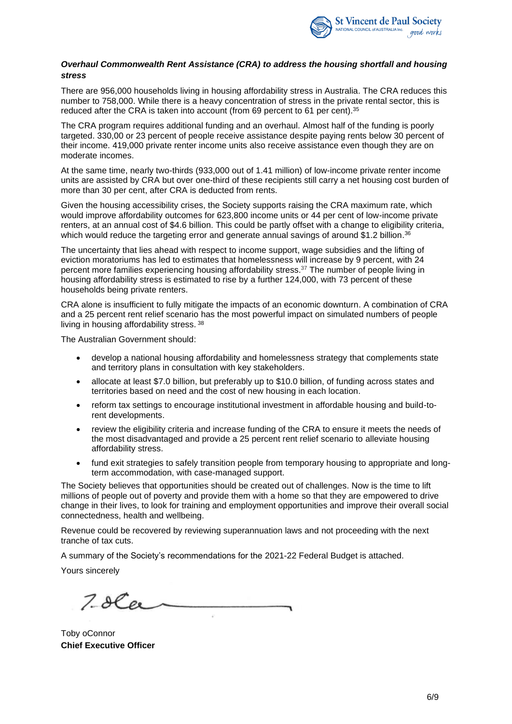

## *Overhaul Commonwealth Rent Assistance (CRA) to address the housing shortfall and housing stress*

There are 956,000 households living in housing affordability stress in Australia. The CRA reduces this number to 758,000. While there is a heavy concentration of stress in the private rental sector, this is reduced after the CRA is taken into account (from 69 percent to 61 per cent). 35

The CRA program requires additional funding and an overhaul. Almost half of the funding is poorly targeted. 330,00 or 23 percent of people receive assistance despite paying rents below 30 percent of their income. 419,000 private renter income units also receive assistance even though they are on moderate incomes.

At the same time, nearly two-thirds (933,000 out of 1.41 million) of low-income private renter income units are assisted by CRA but over one-third of these recipients still carry a net housing cost burden of more than 30 per cent, after CRA is deducted from rents.

Given the housing accessibility crises, the Society supports raising the CRA maximum rate, which would improve affordability outcomes for 623,800 income units or 44 per cent of low-income private renters, at an annual cost of \$4.6 billion. This could be partly offset with a change to eligibility criteria, which would reduce the targeting error and generate annual savings of around \$1.2 billion.<sup>36</sup>

The uncertainty that lies ahead with respect to income support, wage subsidies and the lifting of eviction moratoriums has led to estimates that homelessness will increase by 9 percent, with 24 percent more families experiencing housing affordability stress.<sup>37</sup> The number of people living in housing affordability stress is estimated to rise by a further 124,000, with 73 percent of these households being private renters.

CRA alone is insufficient to fully mitigate the impacts of an economic downturn. A combination of CRA and a 25 percent rent relief scenario has the most powerful impact on simulated numbers of people living in housing affordability stress. <sup>38</sup>

The Australian Government should:

- develop a national housing affordability and homelessness strategy that complements state and territory plans in consultation with key stakeholders.
- allocate at least \$7.0 billion, but preferably up to \$10.0 billion, of funding across states and territories based on need and the cost of new housing in each location.
- reform tax settings to encourage institutional investment in affordable housing and build-torent developments.
- review the eligibility criteria and increase funding of the CRA to ensure it meets the needs of the most disadvantaged and provide a 25 percent rent relief scenario to alleviate housing affordability stress.
- fund exit strategies to safely transition people from temporary housing to appropriate and longterm accommodation, with case-managed support.

The Society believes that opportunities should be created out of challenges. Now is the time to lift millions of people out of poverty and provide them with a home so that they are empowered to drive change in their lives, to look for training and employment opportunities and improve their overall social connectedness, health and wellbeing.

Revenue could be recovered by reviewing superannuation laws and not proceeding with the next tranche of tax cuts.

A summary of the Society's recommendations for the 2021-22 Federal Budget is attached.

Yours sincerely

 $7.8Cer$ 

Toby oConnor **Chief Executive Officer**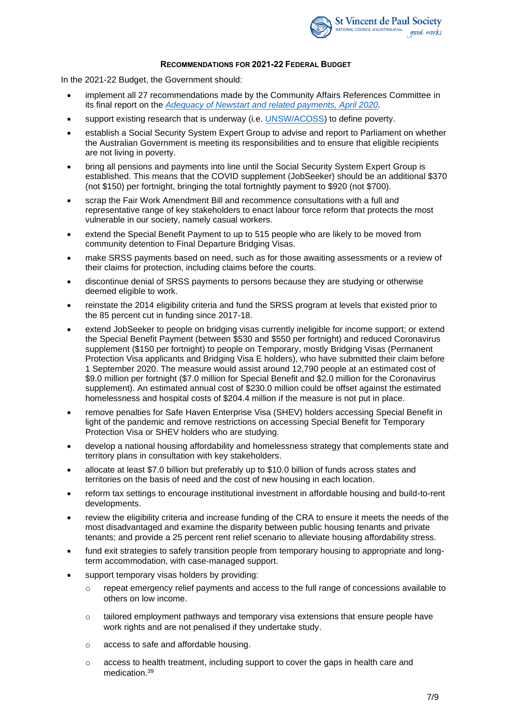

## **RECOMMENDATIONS FOR 2021-22 FEDERAL BUDGET**

In the 2021-22 Budget, the Government should:

- implement all 27 recommendations made by the Community Affairs References Committee in its final report on the *[Adequacy of Newstart and related payments, April 2020.](https://parlinfo.aph.gov.au/parlInfo/download/committees/reportsen/024323/toc_pdf/AdequacyofNewstartandrelatedpaymentsandalternativemechanismstodeterminethelevelofincomesupportpaymentsinAustralia.pdf;fileType=application%2Fpdf)*
- support existing research that is underway (i.e. [UNSW/ACOSS\)](http://povertyandinequality.acoss.org.au/poverty/) to define poverty.
- establish a Social Security System Expert Group to advise and report to Parliament on whether the Australian Government is meeting its responsibilities and to ensure that eligible recipients are not living in poverty.
- bring all pensions and payments into line until the Social Security System Expert Group is established. This means that the COVID supplement (JobSeeker) should be an additional \$370 (not \$150) per fortnight, bringing the total fortnightly payment to \$920 (not \$700).
- scrap the Fair Work Amendment Bill and recommence consultations with a full and representative range of key stakeholders to enact labour force reform that protects the most vulnerable in our society, namely casual workers.
- extend the Special Benefit Payment to up to 515 people who are likely to be moved from community detention to Final Departure Bridging Visas.
- make SRSS payments based on need, such as for those awaiting assessments or a review of their claims for protection, including claims before the courts.
- discontinue denial of SRSS payments to persons because they are studying or otherwise deemed eligible to work.
- reinstate the 2014 eligibility criteria and fund the SRSS program at levels that existed prior to the 85 percent cut in funding since 2017-18.
- extend JobSeeker to people on bridging visas currently ineligible for income support; or extend the Special Benefit Payment (between \$530 and \$550 per fortnight) and reduced Coronavirus supplement (\$150 per fortnight) to people on Temporary, mostly Bridging Visas (Permanent Protection Visa applicants and Bridging Visa E holders), who have submitted their claim before 1 September 2020. The measure would assist around 12,790 people at an estimated cost of \$9.0 million per fortnight (\$7.0 million for Special Benefit and \$2.0 million for the Coronavirus supplement). An estimated annual cost of \$230.0 million could be offset against the estimated homelessness and hospital costs of \$204.4 million if the measure is not put in place.
- remove penalties for Safe Haven Enterprise Visa (SHEV) holders accessing Special Benefit in light of the pandemic and remove restrictions on accessing Special Benefit for Temporary Protection Visa or SHEV holders who are studying.
- develop a national housing affordability and homelessness strategy that complements state and territory plans in consultation with key stakeholders.
- allocate at least \$7.0 billion but preferably up to \$10.0 billion of funds across states and territories on the basis of need and the cost of new housing in each location.
- reform tax settings to encourage institutional investment in affordable housing and build-to-rent developments.
- review the eligibility criteria and increase funding of the CRA to ensure it meets the needs of the most disadvantaged and examine the disparity between public housing tenants and private tenants; and provide a 25 percent rent relief scenario to alleviate housing affordability stress.
- fund exit strategies to safely transition people from temporary housing to appropriate and longterm accommodation, with case-managed support.
- support temporary visas holders by providing:
	- o repeat emergency relief payments and access to the full range of concessions available to others on low income.
	- $\circ$  tailored employment pathways and temporary visa extensions that ensure people have work rights and are not penalised if they undertake study.
	- o access to safe and affordable housing.
	- o access to health treatment, including support to cover the gaps in health care and medication.39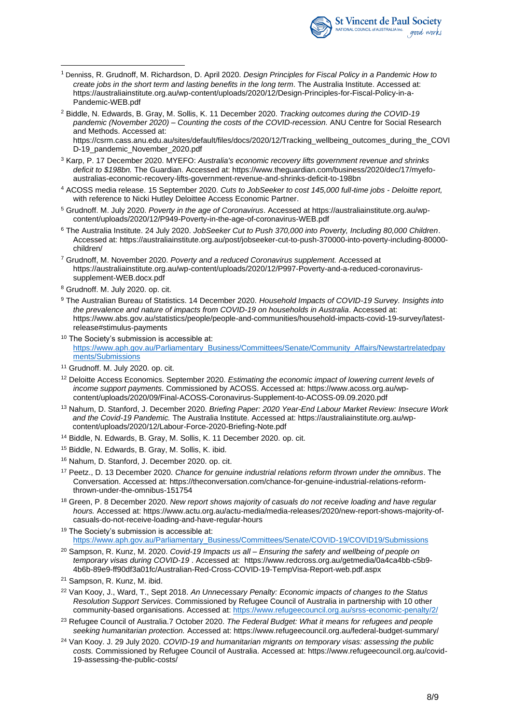

- <sup>1</sup> Denniss, R. Grudnoff, M. Richardson, D. April 2020. *Design Principles for Fiscal Policy in a Pandemic How to create jobs in the short term and lasting benefits in the long term*. The Australia Institute. Accessed at: https://australiainstitute.org.au/wp-content/uploads/2020/12/Design-Principles-for-Fiscal-Policy-in-a-Pandemic-WEB.pdf
- <sup>2</sup> Biddle, N. Edwards, B. Gray, M. Sollis, K. 11 December 2020. *Tracking outcomes during the COVID-19 pandemic (November 2020) – Counting the costs of the COVID-recession.* ANU Centre for Social Research and Methods. Accessed at:

https://csrm.cass.anu.edu.au/sites/default/files/docs/2020/12/Tracking\_wellbeing\_outcomes\_during\_the\_COVI D-19\_pandemic\_November\_2020.pdf

- <sup>3</sup> Karp, P. 17 December 2020. MYEFO: *Australia's economic recovery lifts government revenue and shrinks deficit to \$198bn.* The Guardian. Accessed at: https://www.theguardian.com/business/2020/dec/17/myefoaustralias-economic-recovery-lifts-government-revenue-and-shrinks-deficit-to-198bn
- <sup>4</sup> ACOSS media release. 15 September 2020. *Cuts to JobSeeker to cost 145,000 full-time jobs - Deloitte report,* with reference to Nicki Hutley Deloittee Access Economic Partner.
- <sup>5</sup> Grudnoff. M. July 2020. *Poverty in the age of Coronavirus*. Accessed at https://australiainstitute.org.au/wpcontent/uploads/2020/12/P949-Poverty-in-the-age-of-coronavirus-WEB.pdf
- <sup>6</sup> The Australia Institute. 24 July 2020. *JobSeeker Cut to Push 370,000 into Poverty, Including 80,000 Children*. Accessed at: https://australiainstitute.org.au/post/jobseeker-cut-to-push-370000-into-poverty-including-80000 children/
- <sup>7</sup> Grudnoff, M. November 2020. *Poverty and a reduced Coronavirus supplement.* Accessed at https://australiainstitute.org.au/wp-content/uploads/2020/12/P997-Poverty-and-a-reduced-coronavirussupplement-WEB.docx.pdf
- <sup>8</sup> Grudnoff. M. July 2020. op. cit.
- <sup>9</sup> The Australian Bureau of Statistics. 14 December 2020. *Household Impacts of COVID-19 Survey. Insights into the prevalence and nature of impacts from COVID-19 on households in Australia*. Accessed at: https://www.abs.gov.au/statistics/people/people-and-communities/household-impacts-covid-19-survey/latestrelease#stimulus-payments
- <sup>10</sup> The Society's submission is accessible at: [https://www.aph.gov.au/Parliamentary\\_Business/Committees/Senate/Community\\_Affairs/Newstartrelatedpay](https://www.aph.gov.au/Parliamentary_Business/Committees/Senate/Community_Affairs/Newstartrelatedpayments/Submissions) [ments/Submissions](https://www.aph.gov.au/Parliamentary_Business/Committees/Senate/Community_Affairs/Newstartrelatedpayments/Submissions)
- <sup>11</sup> Grudnoff. M. July 2020. op. cit.
- <sup>12</sup> Deloitte Access Economics. September 2020. *Estimating the economic impact of lowering current levels of income support payments.* Commissioned by ACOSS. Accessed at: https://www.acoss.org.au/wpcontent/uploads/2020/09/Final-ACOSS-Coronavirus-Supplement-to-ACOSS-09.09.2020.pdf
- <sup>13</sup> Nahum, D. Stanford, J. December 2020. *Briefing Paper: 2020 Year-End Labour Market Review: Insecure Work and the Covid-19 Pandemic.* The Australia Institute. Accessed at: https://australiainstitute.org.au/wpcontent/uploads/2020/12/Labour-Force-2020-Briefing-Note.pdf
- <sup>14</sup> Biddle, N. Edwards, B. Gray, M. Sollis, K. 11 December 2020. op. cit.
- <sup>15</sup> Biddle, N. Edwards, B. Gray, M. Sollis, K. ibid.
- <sup>16</sup> Nahum, D. Stanford, J. December 2020. op. cit.
- <sup>17</sup> Peetz., D. 13 December 2020. *Chance for genuine industrial relations reform thrown under the omnibus*. The Conversation. Accessed at: https://theconversation.com/chance-for-genuine-industrial-relations-reformthrown-under-the-omnibus-151754
- <sup>18</sup> Green, P. 8 December 2020. *New report shows majority of casuals do not receive loading and have regular hours.* Accessed at: https://www.actu.org.au/actu-media/media-releases/2020/new-report-shows-majority-ofcasuals-do-not-receive-loading-and-have-regular-hours
- <sup>19</sup> The Society's submission is accessible at: [https://www.aph.gov.au/Parliamentary\\_Business/Committees/Senate/COVID-19/COVID19/Submissions](https://www.aph.gov.au/Parliamentary_Business/Committees/Senate/COVID-19/COVID19/Submissions)
- <sup>20</sup> Sampson, R. Kunz, M. 2020. *Covid-19 Impacts us all – Ensuring the safety and wellbeing of people on temporary visas during COVID-19* . Accessed at: https://www.redcross.org.au/getmedia/0a4ca4bb-c5b9- 4b6b-89e9-ff90df3a01fc/Australian-Red-Cross-COVID-19-TempVisa-Report-web.pdf.aspx

- <sup>22</sup> Van Kooy, J., Ward, T., Sept 2018. *An Unnecessary Penalty: Economic impacts of changes to the Status Resolution Support Services*. Commissioned by Refugee Council of Australia in partnership with 10 other community-based organisations. Accessed at:<https://www.refugeecouncil.org.au/srss-economic-penalty/2/>
- <sup>23</sup> Refugee Council of Australia.7 October 2020. *The Federal Budget: What it means for refugees and people seeking humanitarian protection.* Accessed at: https://www.refugeecouncil.org.au/federal-budget-summary/
- <sup>24</sup> Van Kooy. J. 29 July 2020. *COVID-19 and humanitarian migrants on temporary visas: assessing the public costs.* Commissioned by Refugee Council of Australia. Accessed at: https://www.refugeecouncil.org.au/covid-19-assessing-the-public-costs/

<sup>21</sup> Sampson, R. Kunz, M. ibid.